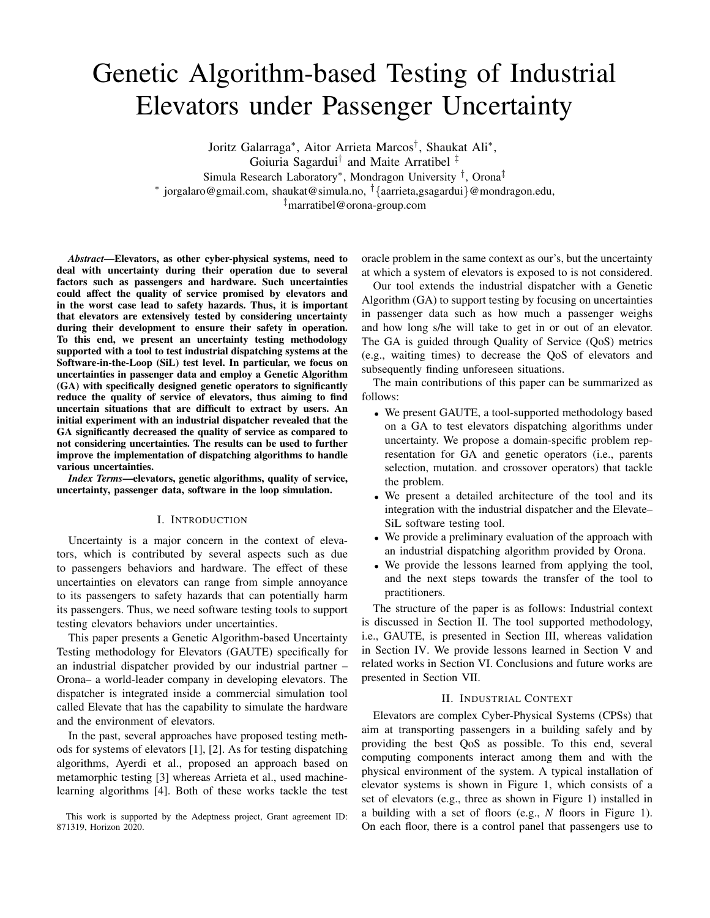# Genetic Algorithm-based Testing of Industrial Elevators under Passenger Uncertainty

Joritz Galarraga<sup>∗</sup> , Aitor Arrieta Marcos† , Shaukat Ali<sup>∗</sup> , Goiuria Sagardui† and Maite Arratibel ‡

Simula Research Laboratory<sup>∗</sup> , Mondragon University † , Orona‡

∗ jorgalaro@gmail.com, shaukat@simula.no, †{aarrieta,gsagardui}@mondragon.edu,

‡marratibel@orona-group.com

*Abstract*—Elevators, as other cyber-physical systems, need to deal with uncertainty during their operation due to several factors such as passengers and hardware. Such uncertainties could affect the quality of service promised by elevators and in the worst case lead to safety hazards. Thus, it is important that elevators are extensively tested by considering uncertainty during their development to ensure their safety in operation. To this end, we present an uncertainty testing methodology supported with a tool to test industrial dispatching systems at the Software-in-the-Loop (SiL) test level. In particular, we focus on uncertainties in passenger data and employ a Genetic Algorithm (GA) with specifically designed genetic operators to significantly reduce the quality of service of elevators, thus aiming to find uncertain situations that are difficult to extract by users. An initial experiment with an industrial dispatcher revealed that the GA significantly decreased the quality of service as compared to not considering uncertainties. The results can be used to further improve the implementation of dispatching algorithms to handle various uncertainties.

*Index Terms*—elevators, genetic algorithms, quality of service, uncertainty, passenger data, software in the loop simulation.

#### I. INTRODUCTION

Uncertainty is a major concern in the context of elevators, which is contributed by several aspects such as due to passengers behaviors and hardware. The effect of these uncertainties on elevators can range from simple annoyance to its passengers to safety hazards that can potentially harm its passengers. Thus, we need software testing tools to support testing elevators behaviors under uncertainties.

This paper presents a Genetic Algorithm-based Uncertainty Testing methodology for Elevators (GAUTE) specifically for an industrial dispatcher provided by our industrial partner – Orona– a world-leader company in developing elevators. The dispatcher is integrated inside a commercial simulation tool called Elevate that has the capability to simulate the hardware and the environment of elevators.

In the past, several approaches have proposed testing methods for systems of elevators [\[1\]](#page-5-0), [\[2\]](#page-5-1). As for testing dispatching algorithms, Ayerdi et al., proposed an approach based on metamorphic testing [\[3\]](#page-5-2) whereas Arrieta et al., used machinelearning algorithms [\[4\]](#page-5-3). Both of these works tackle the test

This work is supported by the Adeptness project, Grant agreement ID: 871319, Horizon 2020.

oracle problem in the same context as our's, but the uncertainty at which a system of elevators is exposed to is not considered.

Our tool extends the industrial dispatcher with a Genetic Algorithm (GA) to support testing by focusing on uncertainties in passenger data such as how much a passenger weighs and how long s/he will take to get in or out of an elevator. The GA is guided through Quality of Service (QoS) metrics (e.g., waiting times) to decrease the QoS of elevators and subsequently finding unforeseen situations.

The main contributions of this paper can be summarized as follows:

- We present GAUTE, a tool-supported methodology based on a GA to test elevators dispatching algorithms under uncertainty. We propose a domain-specific problem representation for GA and genetic operators (i.e., parents selection, mutation. and crossover operators) that tackle the problem.
- We present a detailed architecture of the tool and its integration with the industrial dispatcher and the Elevate– SiL software testing tool.
- We provide a preliminary evaluation of the approach with an industrial dispatching algorithm provided by Orona.
- We provide the lessons learned from applying the tool, and the next steps towards the transfer of the tool to practitioners.

The structure of the paper is as follows: Industrial context is discussed in Section [II.](#page-0-0) The tool supported methodology, i.e., GAUTE, is presented in Section [III,](#page-1-0) whereas validation in Section [IV.](#page-3-0) We provide lessons learned in Section [V](#page-4-0) and related works in Section [VI.](#page-5-4) Conclusions and future works are presented in Section [VII.](#page-5-5)

# II. INDUSTRIAL CONTEXT

<span id="page-0-0"></span>Elevators are complex Cyber-Physical Systems (CPSs) that aim at transporting passengers in a building safely and by providing the best QoS as possible. To this end, several computing components interact among them and with the physical environment of the system. A typical installation of elevator systems is shown in Figure [1,](#page-1-1) which consists of a set of elevators (e.g., three as shown in Figure [1\)](#page-1-1) installed in a building with a set of floors (e.g., *N* floors in Figure [1\)](#page-1-1). On each floor, there is a control panel that passengers use to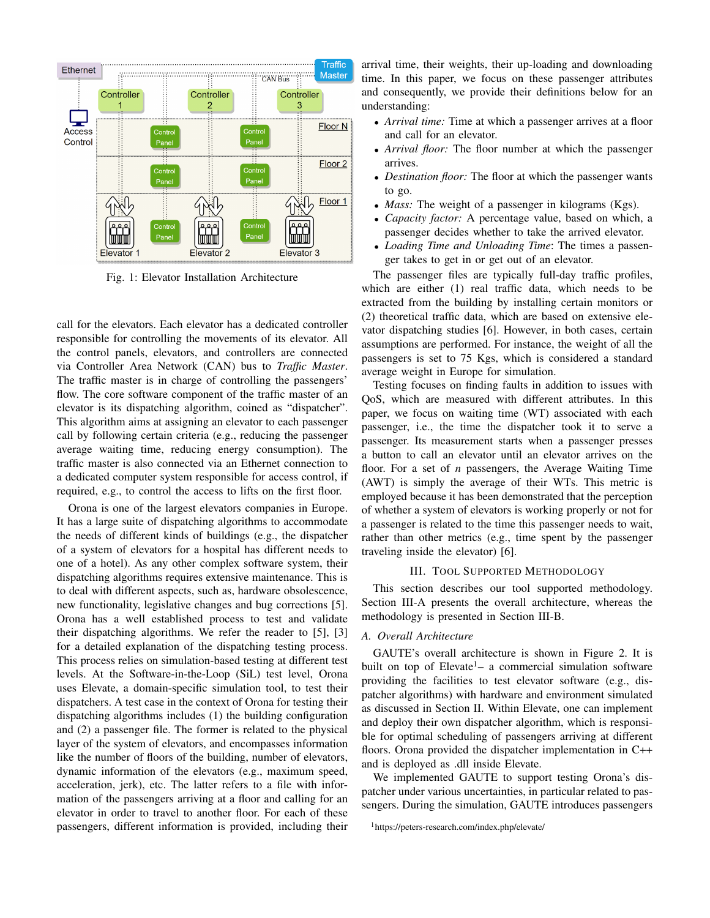<span id="page-1-1"></span>

Fig. 1: Elevator Installation Architecture

call for the elevators. Each elevator has a dedicated controller responsible for controlling the movements of its elevator. All the control panels, elevators, and controllers are connected via Controller Area Network (CAN) bus to *Traffic Master*. The traffic master is in charge of controlling the passengers' flow. The core software component of the traffic master of an elevator is its dispatching algorithm, coined as "dispatcher". This algorithm aims at assigning an elevator to each passenger call by following certain criteria (e.g., reducing the passenger average waiting time, reducing energy consumption). The traffic master is also connected via an Ethernet connection to a dedicated computer system responsible for access control, if required, e.g., to control the access to lifts on the first floor.

Orona is one of the largest elevators companies in Europe. It has a large suite of dispatching algorithms to accommodate the needs of different kinds of buildings (e.g., the dispatcher of a system of elevators for a hospital has different needs to one of a hotel). As any other complex software system, their dispatching algorithms requires extensive maintenance. This is to deal with different aspects, such as, hardware obsolescence, new functionality, legislative changes and bug corrections [\[5\]](#page-5-6). Orona has a well established process to test and validate their dispatching algorithms. We refer the reader to [\[5\]](#page-5-6), [\[3\]](#page-5-2) for a detailed explanation of the dispatching testing process. This process relies on simulation-based testing at different test levels. At the Software-in-the-Loop (SiL) test level, Orona uses Elevate, a domain-specific simulation tool, to test their dispatchers. A test case in the context of Orona for testing their dispatching algorithms includes (1) the building configuration and (2) a passenger file. The former is related to the physical layer of the system of elevators, and encompasses information like the number of floors of the building, number of elevators, dynamic information of the elevators (e.g., maximum speed, acceleration, jerk), etc. The latter refers to a file with information of the passengers arriving at a floor and calling for an elevator in order to travel to another floor. For each of these passengers, different information is provided, including their

arrival time, their weights, their up-loading and downloading time. In this paper, we focus on these passenger attributes and consequently, we provide their definitions below for an understanding:

- *Arrival time:* Time at which a passenger arrives at a floor and call for an elevator.
- *Arrival floor:* The floor number at which the passenger arrives.
- *Destination floor:* The floor at which the passenger wants to go.
- *Mass:* The weight of a passenger in kilograms (Kgs).
- *Capacity factor:* A percentage value, based on which, a passenger decides whether to take the arrived elevator.
- *Loading Time and Unloading Time*: The times a passenger takes to get in or get out of an elevator.

The passenger files are typically full-day traffic profiles, which are either (1) real traffic data, which needs to be extracted from the building by installing certain monitors or (2) theoretical traffic data, which are based on extensive elevator dispatching studies [\[6\]](#page-5-7). However, in both cases, certain assumptions are performed. For instance, the weight of all the passengers is set to 75 Kgs, which is considered a standard average weight in Europe for simulation.

Testing focuses on finding faults in addition to issues with QoS, which are measured with different attributes. In this paper, we focus on waiting time (WT) associated with each passenger, i.e., the time the dispatcher took it to serve a passenger. Its measurement starts when a passenger presses a button to call an elevator until an elevator arrives on the floor. For a set of *n* passengers, the Average Waiting Time (AWT) is simply the average of their WTs. This metric is employed because it has been demonstrated that the perception of whether a system of elevators is working properly or not for a passenger is related to the time this passenger needs to wait, rather than other metrics (e.g., time spent by the passenger traveling inside the elevator) [\[6\]](#page-5-7).

# III. TOOL SUPPORTED METHODOLOGY

<span id="page-1-0"></span>This section describes our tool supported methodology. Section [III-A](#page-1-2) presents the overall architecture, whereas the methodology is presented in Section [III-B.](#page-2-0)

# <span id="page-1-2"></span>*A. Overall Architecture*

GAUTE's overall architecture is shown in Figure [2.](#page-2-1) It is built on top of Elevate<sup>[1](#page-1-3)</sup> – a commercial simulation software providing the facilities to test elevator software (e.g., dispatcher algorithms) with hardware and environment simulated as discussed in Section [II.](#page-0-0) Within Elevate, one can implement and deploy their own dispatcher algorithm, which is responsible for optimal scheduling of passengers arriving at different floors. Orona provided the dispatcher implementation in C++ and is deployed as .dll inside Elevate.

We implemented GAUTE to support testing Orona's dispatcher under various uncertainties, in particular related to passengers. During the simulation, GAUTE introduces passengers

<span id="page-1-3"></span><sup>1</sup>https://peters-research.com/index.php/elevate/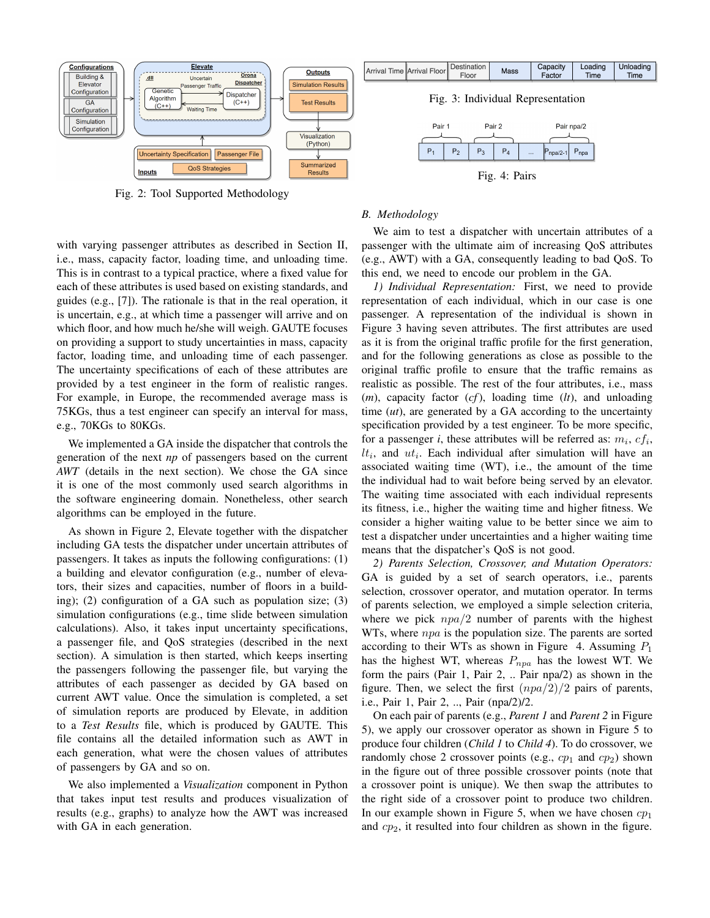<span id="page-2-1"></span>

Fig. 2: Tool Supported Methodology

with varying passenger attributes as described in Section [II,](#page-0-0) i.e., mass, capacity factor, loading time, and unloading time. This is in contrast to a typical practice, where a fixed value for each of these attributes is used based on existing standards, and guides (e.g., [\[7\]](#page-5-8)). The rationale is that in the real operation, it is uncertain, e.g., at which time a passenger will arrive and on which floor, and how much he/she will weigh. GAUTE focuses on providing a support to study uncertainties in mass, capacity factor, loading time, and unloading time of each passenger. The uncertainty specifications of each of these attributes are provided by a test engineer in the form of realistic ranges. For example, in Europe, the recommended average mass is 75KGs, thus a test engineer can specify an interval for mass, e.g., 70KGs to 80KGs.

We implemented a GA inside the dispatcher that controls the generation of the next *np* of passengers based on the current *AWT* (details in the next section). We chose the GA since it is one of the most commonly used search algorithms in the software engineering domain. Nonetheless, other search algorithms can be employed in the future.

As shown in Figure [2,](#page-2-1) Elevate together with the dispatcher including GA tests the dispatcher under uncertain attributes of passengers. It takes as inputs the following configurations: (1) a building and elevator configuration (e.g., number of elevators, their sizes and capacities, number of floors in a building); (2) configuration of a GA such as population size; (3) simulation configurations (e.g., time slide between simulation calculations). Also, it takes input uncertainty specifications, a passenger file, and QoS strategies (described in the next section). A simulation is then started, which keeps inserting the passengers following the passenger file, but varying the attributes of each passenger as decided by GA based on current AWT value. Once the simulation is completed, a set of simulation reports are produced by Elevate, in addition to a *Test Results* file, which is produced by GAUTE. This file contains all the detailed information such as AWT in each generation, what were the chosen values of attributes of passengers by GA and so on.

We also implemented a *Visualization* component in Python that takes input test results and produces visualization of results (e.g., graphs) to analyze how the AWT was increased with GA in each generation.

# <span id="page-2-3"></span><span id="page-2-2"></span><span id="page-2-0"></span>*B. Methodology* We aim to test a dispatcher with uncertain attributes of a

passenger with the ultimate aim of increasing QoS attributes (e.g., AWT) with a GA, consequently leading to bad QoS. To this end, we need to encode our problem in the GA.

*1) Individual Representation:* First, we need to provide representation of each individual, which in our case is one passenger. A representation of the individual is shown in Figure [3](#page-2-2) having seven attributes. The first attributes are used as it is from the original traffic profile for the first generation, and for the following generations as close as possible to the original traffic profile to ensure that the traffic remains as realistic as possible. The rest of the four attributes, i.e., mass (*m*), capacity factor (*cf*), loading time (*lt*), and unloading time (*ut*), are generated by a GA according to the uncertainty specification provided by a test engineer. To be more specific, for a passenger *i*, these attributes will be referred as:  $m_i$ ,  $cf_i$ ,  $lt_i$ , and  $ut_i$ . Each individual after simulation will have an associated waiting time (WT), i.e., the amount of the time the individual had to wait before being served by an elevator. The waiting time associated with each individual represents its fitness, i.e., higher the waiting time and higher fitness. We consider a higher waiting value to be better since we aim to test a dispatcher under uncertainties and a higher waiting time means that the dispatcher's QoS is not good.

*2) Parents Selection, Crossover, and Mutation Operators:* GA is guided by a set of search operators, i.e., parents selection, crossover operator, and mutation operator. In terms of parents selection, we employed a simple selection criteria, where we pick  $npa/2$  number of parents with the highest WTs, where  $npa$  is the population size. The parents are sorted according to their WTs as shown in Figure [4.](#page-2-3) Assuming  $P_1$ has the highest WT, whereas  $P_{npa}$  has the lowest WT. We form the pairs (Pair 1, Pair 2, .. Pair npa/2) as shown in the figure. Then, we select the first  $(npa/2)/2$  pairs of parents, i.e., Pair 1, Pair 2, .., Pair (npa/2)/2.

On each pair of parents (e.g., *Parent 1* and *Parent 2* in Figure [5\)](#page-3-1), we apply our crossover operator as shown in Figure [5](#page-3-1) to produce four children (*Child 1* to *Child 4*). To do crossover, we randomly chose 2 crossover points (e.g.,  $cp_1$  and  $cp_2$ ) shown in the figure out of three possible crossover points (note that a crossover point is unique). We then swap the attributes to the right side of a crossover point to produce two children. In our example shown in Figure [5,](#page-3-1) when we have chosen  $cp<sub>1</sub>$ and  $cp<sub>2</sub>$ , it resulted into four children as shown in the figure.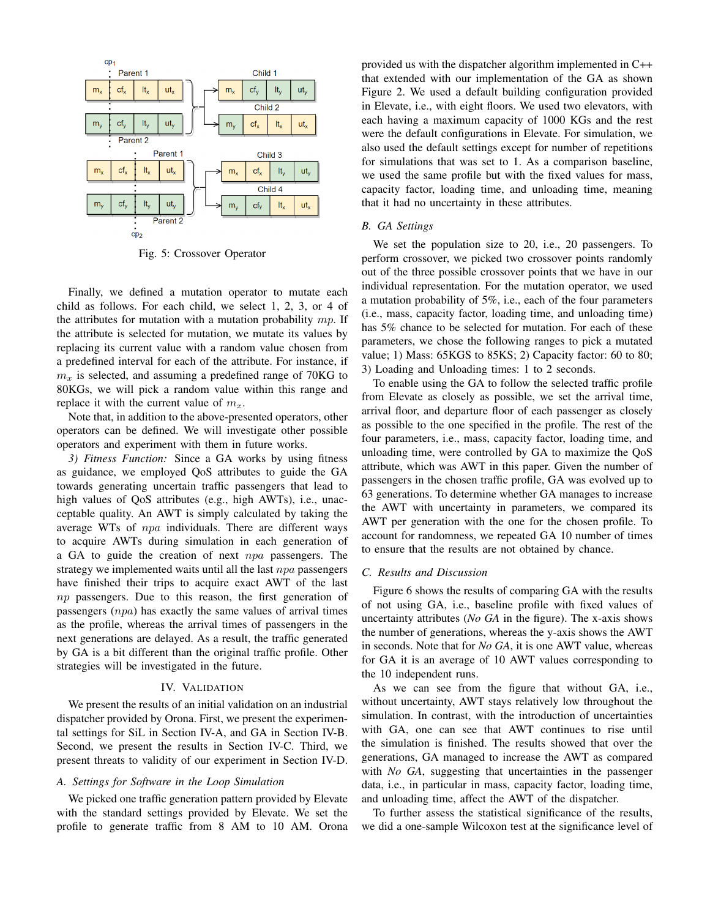<span id="page-3-1"></span>

Fig. 5: Crossover Operator

Finally, we defined a mutation operator to mutate each child as follows. For each child, we select 1, 2, 3, or 4 of the attributes for mutation with a mutation probability  $mp$ . If the attribute is selected for mutation, we mutate its values by replacing its current value with a random value chosen from a predefined interval for each of the attribute. For instance, if  $m<sub>x</sub>$  is selected, and assuming a predefined range of 70KG to 80KGs, we will pick a random value within this range and replace it with the current value of  $m<sub>x</sub>$ .

Note that, in addition to the above-presented operators, other operators can be defined. We will investigate other possible operators and experiment with them in future works.

*3) Fitness Function:* Since a GA works by using fitness as guidance, we employed QoS attributes to guide the GA towards generating uncertain traffic passengers that lead to high values of QoS attributes (e.g., high AWTs), i.e., unacceptable quality. An AWT is simply calculated by taking the average WTs of npa individuals. There are different ways to acquire AWTs during simulation in each generation of a GA to guide the creation of next  $npa$  passengers. The strategy we implemented waits until all the last  $npa$  passengers have finished their trips to acquire exact AWT of the last np passengers. Due to this reason, the first generation of passengers (npa) has exactly the same values of arrival times as the profile, whereas the arrival times of passengers in the next generations are delayed. As a result, the traffic generated by GA is a bit different than the original traffic profile. Other strategies will be investigated in the future.

#### IV. VALIDATION

<span id="page-3-0"></span>We present the results of an initial validation on an industrial dispatcher provided by Orona. First, we present the experimental settings for SiL in Section [IV-A,](#page-3-2) and GA in Section [IV-B.](#page-3-3) Second, we present the results in Section [IV-C.](#page-3-4) Third, we present threats to validity of our experiment in Section [IV-D.](#page-4-1)

## <span id="page-3-2"></span>*A. Settings for Software in the Loop Simulation*

We picked one traffic generation pattern provided by Elevate with the standard settings provided by Elevate. We set the profile to generate traffic from 8 AM to 10 AM. Orona provided us with the dispatcher algorithm implemented in C++ that extended with our implementation of the GA as shown Figure [2.](#page-2-1) We used a default building configuration provided in Elevate, i.e., with eight floors. We used two elevators, with each having a maximum capacity of 1000 KGs and the rest were the default configurations in Elevate. For simulation, we also used the default settings except for number of repetitions for simulations that was set to 1. As a comparison baseline, we used the same profile but with the fixed values for mass, capacity factor, loading time, and unloading time, meaning that it had no uncertainty in these attributes.

#### <span id="page-3-3"></span>*B. GA Settings*

We set the population size to 20, i.e., 20 passengers. To perform crossover, we picked two crossover points randomly out of the three possible crossover points that we have in our individual representation. For the mutation operator, we used a mutation probability of 5%, i.e., each of the four parameters (i.e., mass, capacity factor, loading time, and unloading time) has 5% chance to be selected for mutation. For each of these parameters, we chose the following ranges to pick a mutated value; 1) Mass: 65KGS to 85KS; 2) Capacity factor: 60 to 80; 3) Loading and Unloading times: 1 to 2 seconds.

To enable using the GA to follow the selected traffic profile from Elevate as closely as possible, we set the arrival time, arrival floor, and departure floor of each passenger as closely as possible to the one specified in the profile. The rest of the four parameters, i.e., mass, capacity factor, loading time, and unloading time, were controlled by GA to maximize the QoS attribute, which was AWT in this paper. Given the number of passengers in the chosen traffic profile, GA was evolved up to 63 generations. To determine whether GA manages to increase the AWT with uncertainty in parameters, we compared its AWT per generation with the one for the chosen profile. To account for randomness, we repeated GA 10 number of times to ensure that the results are not obtained by chance.

#### <span id="page-3-4"></span>*C. Results and Discussion*

Figure [6](#page-4-2) shows the results of comparing GA with the results of not using GA, i.e., baseline profile with fixed values of uncertainty attributes (*No GA* in the figure). The x-axis shows the number of generations, whereas the y-axis shows the AWT in seconds. Note that for *No GA*, it is one AWT value, whereas for GA it is an average of 10 AWT values corresponding to the 10 independent runs.

As we can see from the figure that without GA, i.e., without uncertainty, AWT stays relatively low throughout the simulation. In contrast, with the introduction of uncertainties with GA, one can see that AWT continues to rise until the simulation is finished. The results showed that over the generations, GA managed to increase the AWT as compared with *No GA*, suggesting that uncertainties in the passenger data, i.e., in particular in mass, capacity factor, loading time, and unloading time, affect the AWT of the dispatcher.

To further assess the statistical significance of the results, we did a one-sample Wilcoxon test at the significance level of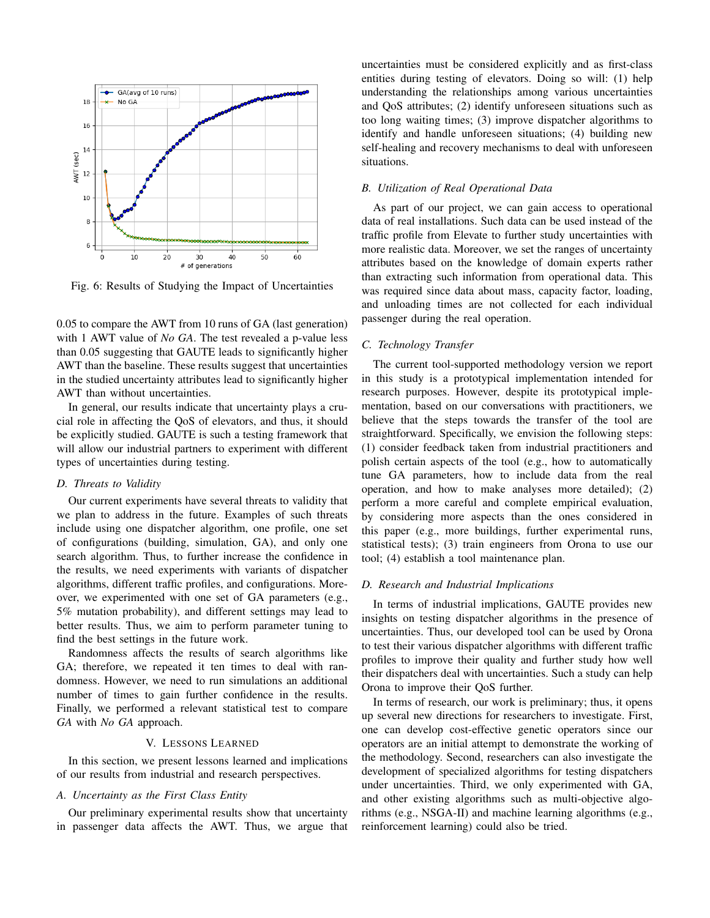<span id="page-4-2"></span>

Fig. 6: Results of Studying the Impact of Uncertainties

0.05 to compare the AWT from 10 runs of GA (last generation) with 1 AWT value of *No GA*. The test revealed a p-value less than 0.05 suggesting that GAUTE leads to significantly higher AWT than the baseline. These results suggest that uncertainties in the studied uncertainty attributes lead to significantly higher AWT than without uncertainties.

In general, our results indicate that uncertainty plays a crucial role in affecting the QoS of elevators, and thus, it should be explicitly studied. GAUTE is such a testing framework that will allow our industrial partners to experiment with different types of uncertainties during testing.

# <span id="page-4-1"></span>*D. Threats to Validity*

Our current experiments have several threats to validity that we plan to address in the future. Examples of such threats include using one dispatcher algorithm, one profile, one set of configurations (building, simulation, GA), and only one search algorithm. Thus, to further increase the confidence in the results, we need experiments with variants of dispatcher algorithms, different traffic profiles, and configurations. Moreover, we experimented with one set of GA parameters (e.g., 5% mutation probability), and different settings may lead to better results. Thus, we aim to perform parameter tuning to find the best settings in the future work.

Randomness affects the results of search algorithms like GA; therefore, we repeated it ten times to deal with randomness. However, we need to run simulations an additional number of times to gain further confidence in the results. Finally, we performed a relevant statistical test to compare *GA* with *No GA* approach.

#### V. LESSONS LEARNED

<span id="page-4-0"></span>In this section, we present lessons learned and implications of our results from industrial and research perspectives.

# *A. Uncertainty as the First Class Entity*

Our preliminary experimental results show that uncertainty in passenger data affects the AWT. Thus, we argue that uncertainties must be considered explicitly and as first-class entities during testing of elevators. Doing so will: (1) help understanding the relationships among various uncertainties and QoS attributes; (2) identify unforeseen situations such as too long waiting times; (3) improve dispatcher algorithms to identify and handle unforeseen situations; (4) building new self-healing and recovery mechanisms to deal with unforeseen situations.

### *B. Utilization of Real Operational Data*

As part of our project, we can gain access to operational data of real installations. Such data can be used instead of the traffic profile from Elevate to further study uncertainties with more realistic data. Moreover, we set the ranges of uncertainty attributes based on the knowledge of domain experts rather than extracting such information from operational data. This was required since data about mass, capacity factor, loading, and unloading times are not collected for each individual passenger during the real operation.

# *C. Technology Transfer*

The current tool-supported methodology version we report in this study is a prototypical implementation intended for research purposes. However, despite its prototypical implementation, based on our conversations with practitioners, we believe that the steps towards the transfer of the tool are straightforward. Specifically, we envision the following steps: (1) consider feedback taken from industrial practitioners and polish certain aspects of the tool (e.g., how to automatically tune GA parameters, how to include data from the real operation, and how to make analyses more detailed); (2) perform a more careful and complete empirical evaluation, by considering more aspects than the ones considered in this paper (e.g., more buildings, further experimental runs, statistical tests); (3) train engineers from Orona to use our tool; (4) establish a tool maintenance plan.

# *D. Research and Industrial Implications*

In terms of industrial implications, GAUTE provides new insights on testing dispatcher algorithms in the presence of uncertainties. Thus, our developed tool can be used by Orona to test their various dispatcher algorithms with different traffic profiles to improve their quality and further study how well their dispatchers deal with uncertainties. Such a study can help Orona to improve their QoS further.

In terms of research, our work is preliminary; thus, it opens up several new directions for researchers to investigate. First, one can develop cost-effective genetic operators since our operators are an initial attempt to demonstrate the working of the methodology. Second, researchers can also investigate the development of specialized algorithms for testing dispatchers under uncertainties. Third, we only experimented with GA, and other existing algorithms such as multi-objective algorithms (e.g., NSGA-II) and machine learning algorithms (e.g., reinforcement learning) could also be tried.